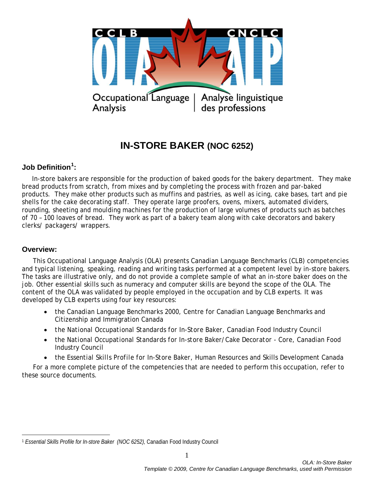

# **IN-STORE BAKER (NOC 6252)**

# **Job Definition[1](#page-0-0) :**

 In-store bakers are responsible for the production of baked goods for the bakery department. They make bread products from scratch, from mixes and by completing the process with frozen and par-baked products. They make other products such as muffins and pastries, as well as icing, cake bases, tart and pie shells for the cake decorating staff. They operate large proofers, ovens, mixers, automated dividers, rounding, sheeting and moulding machines for the production of large volumes of products such as batches of 70 – 100 loaves of bread. They work as part of a bakery team along with cake decorators and bakery clerks/ packagers/ wrappers.

## **Overview:**

 $\overline{a}$ 

This Occupational Language Analysis (OLA) presents Canadian Language Benchmarks (CLB) competencies and typical listening, speaking, reading and writing tasks performed at a competent level by in-store bakers. The tasks are illustrative only, and do not provide a complete sample of what an in-store baker does on the job. Other essential skills such as numeracy and computer skills are beyond the scope of the OLA. The content of the OLA was validated by people employed in the occupation and by CLB experts. It was developed by CLB experts using four key resources:

- the *Canadian Language Benchmarks 2000*, Centre for Canadian Language Benchmarks and Citizenship and Immigration Canada
- *the National Occupational Standards for In-Store Baker,* Canadian Food Industry Council
- the *National Occupational Standards for In-store Baker/Cake Decorator - Core*, Canadian Food Industry Council
- the *Essential Skills Profile for In-Store Baker*, Human Resources and Skills Development Canada

For a more complete picture of the competencies that are needed to perform this occupation, refer to these source documents.

<span id="page-0-0"></span><sup>1</sup> *Essential Skills Profile for In-store Baker (NOC 6252),* Canadian Food Industry Council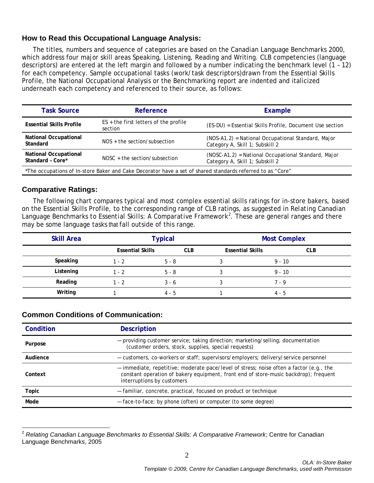## **How to Read this Occupational Language Analysis:**

The titles, numbers and sequence of categories are based on the *Canadian Language Benchmarks 2000*, which address four major skill areas Speaking, Listening, Reading and Writing. CLB competencies (language descriptors) are entered at the left margin and followed by a number indicating the benchmark level (1 – 12) for each competency. Sample occupational tasks (work/task descriptors)drawn from the Essential Skills Profile, the National Occupational Analysis or the Benchmarking report are indented and italicized underneath each competency and referenced to their source, as follows:

| <b>Task Source</b>                                                                                         | Reference                                          | Example                                                                                |  |  |
|------------------------------------------------------------------------------------------------------------|----------------------------------------------------|----------------------------------------------------------------------------------------|--|--|
| <b>Essential Skills Profile</b>                                                                            | $ES +$ the first letters of the profile<br>section | (ES-DU) = Essential Skills Profile, Document Use section                               |  |  |
| <b>National Occupational</b><br>Standard                                                                   | $NOS +$ the section/subsection                     | (NOS-A1.2) = National Occupational Standard, Major<br>Category A, Skill 1; Subskill 2  |  |  |
| <b>National Occupational</b><br>Standard - Core*                                                           | $NOSC + the section/subsection$                    | (NOSC-A1.2) = National Occupational Standard, Major<br>Category A, Skill 1; Subskill 2 |  |  |
| *The occupations of In-store Baker and Cake Decorator have a set of shared standards referred to as "Core" |                                                    |                                                                                        |  |  |

## **Comparative Ratings:**

The following chart compares typical and most complex essential skills ratings for in-store bakers, based on the Essential Skills Profile, to the corresponding range of CLB ratings, as suggested in *Relating Canadian Language Benchmarks to Essential Skills: A Comparative Framework[2](#page-1-0)* . These are general ranges and there may be some language tasks that fall outside of this range.

| <b>Skill Area</b> | <b>Typical</b>          |            | <b>Most Complex</b>     |            |
|-------------------|-------------------------|------------|-------------------------|------------|
|                   | <b>Essential Skills</b> | <b>CLB</b> | <b>Essential Skills</b> | <b>CLB</b> |
| Speaking          | $1 - 2$                 | $5 - 8$    |                         | $9 - 10$   |
| Listening         | $1 - 2$                 | $5 - 8$    |                         | $9 - 10$   |
| Reading           | $1 - 2$                 | $3 - 6$    |                         | $7 - 9$    |
| Writing           |                         | $4 - 5$    |                         | $4 - 5$    |

## **Common Conditions of Communication:**

| Condition    | <b>Description</b>                                                                                                                                                                                            |  |
|--------------|---------------------------------------------------------------------------------------------------------------------------------------------------------------------------------------------------------------|--|
| Purpose      | - providing customer service; taking direction; marketing/selling; documentation<br>(customer orders, stock, supplies, special requests)                                                                      |  |
| Audience     | - customers, co-workers or staff; supervisors/employers; delivery/service personnel                                                                                                                           |  |
| Context      | - immediate, repetitive; moderate pace/level of stress; noise often a factor (e.g., the<br>constant operation of bakery equipment, front end of store-music backdrop); frequent<br>interruptions by customers |  |
| <b>Topic</b> | - familiar, concrete, practical, focused on product or technique                                                                                                                                              |  |
| Mode         | - face-to-face; by phone (often) or computer (to some degree)                                                                                                                                                 |  |

<span id="page-1-0"></span><sup>2</sup> *Relating Canadian Language Benchmarks to Essential Skills: A Comparative Framework*; Centre for Canadian Language Benchmarks, 2005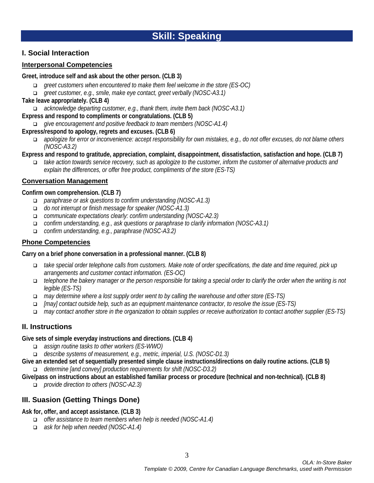## **I. Social Interaction**

## **Interpersonal Competencies**

#### **Greet, introduce self and ask about the other person. (CLB 3)**

- *greet customers when encountered to make them feel welcome in the store (ES-OC)*
- *greet customer, e.g., smile, make eye contact, greet verbally (NOSC-A3.1)*

## **Take leave appropriately. (CLB 4)**

*acknowledge departing customer, e.g., thank them, invite them back (NOSC-A3.1)*

#### **Express and respond to compliments or congratulations. (CLB 5)**

*give encouragement and positive feedback to team members (NOSC-A1.4)*

## **Express/respond to apology, regrets and excuses. (CLB 6)**

- *apologize for error or inconvenience: accept responsibility for own mistakes, e.g., do not offer excuses, do not blame others (NOSC-A3.2)*
- **Express and respond to gratitude, appreciation, complaint, disappointment, dissatisfaction, satisfaction and hope. (CLB 7)**
	- *take action towards service recovery, such as apologize to the customer, inform the customer of alternative products and explain the differences, or offer free product, compliments of the store (ES-TS)*

## **Conversation Management**

## **Confirm own comprehension. (CLB 7)**

- *paraphrase or ask questions to confirm understanding (NOSC-A1.3)*
- *do not interrupt or finish message for speaker (NOSC-A1.3)*
- *communicate expectations clearly: confirm understanding (NOSC-A2.3)*
- *confirm understanding, e.g., ask questions or paraphrase to clarify information (NOSC-A3.1)*
- *confirm understanding, e.g., paraphrase (NOSC-A3.2)*

## **Phone Competencies**

## **Carry on a brief phone conversation in a professional manner. (CLB 8)**

- *take special order telephone calls from customers. Make note of order specifications, the date and time required, pick up arrangements and customer contact information. (ES-OC)*
- *telephone the bakery manager or the person responsible for taking a special order to clarify the order when the writing is not legible (ES-TS)*
- *may determine where a lost supply order went to by calling the warehouse and other store (ES-TS)*
- *[may] contact outside help, such as an equipment maintenance contractor, to resolve the issue (ES-TS)*
- *may contact another store in the organization to obtain supplies or receive authorization to contact another supplier (ES-TS)*

## **II. Instructions**

## **Give sets of simple everyday instructions and directions. (CLB 4)**

- *assign routine tasks to other workers (ES-WWO)*
- *describe systems of measurement, e.g., metric, imperial, U.S. (NOSC-D1.3)*
- **Give an extended set of sequentially presented simple clause instructions/directions on daily routine actions. (CLB 5)** *determine [and convey] production requirements for shift (NOSC-D3.2)*

## **Give/pass on instructions about an established familiar process or procedure (technical and non-technical). (CLB 8)**

*provide direction to others (NOSC-A2.3)*

# **III. Suasion (Getting Things Done)**

## **Ask for, offer, and accept assistance. (CLB 3)**

- *offer assistance to team members when help is needed (NOSC-A1.4)*
- *ask for help when needed (NOSC-A1.4)*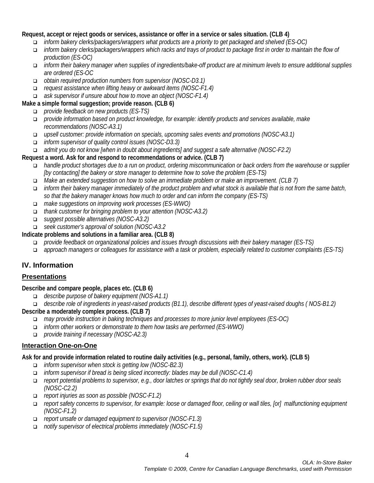## **Request, accept or reject goods or services, assistance or offer in a service or sales situation. (CLB 4)**

- *inform bakery clerks/packagers/wrappers what products are a priority to get packaged and shelved (ES-OC)*
- *inform bakery clerks/packagers/wrappers which racks and trays of product to package first in order to maintain the flow of production (ES-OC)*
- *inform their bakery manager when supplies of ingredients/bake-off product are at minimum levels to ensure additional supplies are ordered (ES-OC*
- *obtain required production numbers from supervisor (NOSC-D3.1)*
- *request assistance when lifting heavy or awkward items (NOSC-F1.4)*
- *ask supervisor if unsure about how to move an object (NOSC-F1.4)*

## **Make a simple formal suggestion; provide reason. (CLB 6)**

- *provide feedback on new products (ES-TS)*
- *provide information based on product knowledge, for example: identify products and services available, make recommendations (NOSC-A3.1)*
- *upsell customer: provide information on specials, upcoming sales events and promotions (NOSC-A3.1)*
- *inform supervisor of quality control issues (NOSC-D3.3)*
- *admit you do not know [when in doubt about ingredients] and suggest a safe alternative (NOSC-F2.2)*

## **Request a word. Ask for and respond to recommendations or advice. (CLB 7)**

- *handle product shortages due to a run on product, ordering miscommunication or back orders from the warehouse or supplier [by contacting] the bakery or store manager to determine how to solve the problem (ES-TS)*
- *Make an extended suggestion on how to solve an immediate problem or make an improvement. (CLB 7)*
- *inform their bakery manager immediately of the product problem and what stock is available that is not from the same batch, so that the bakery manager knows how much to order and can inform the company (ES-TS)*
- *make suggestions on improving work processes (ES-WWO)*
- *thank customer for bringing problem to your attention (NOSC-A3.2)*
- *suggest possible alternatives (NOSC-A3.2)*
- *seek customer's approval of solution (NOSC-A3.2*

## **Indicate problems and solutions in a familiar area. (CLB 8)**

- *provide feedback on organizational policies and issues through discussions with their bakery manager (ES-TS)*
- *approach managers or colleagues for assistance with a task or problem, especially related to customer complaints (ES-TS)*

# **IV. Information**

## **Presentations**

## **Describe and compare people, places etc. (CLB 6)**

- *describe purpose of bakery equipment (NOS-A1.1)*
- *describe role of ingredients in yeast-raised products (B1.1), describe different types of yeast-raised doughs ( NOS-B1.2)*

## **Describe a moderately complex process. (CLB 7)**

- *may provide instruction in baking techniques and processes to more junior level employees (ES-OC)*
- *inform other workers or demonstrate to them how tasks are performed (ES-WWO)*
- *provide training if necessary (NOSC-A2.3)*

## **Interaction One-on-One**

## **Ask for and provide information related to routine daily activities (e.g., personal, family, others, work). (CLB 5)**

- *inform supervisor when stock is getting low (NOSC-B2.3)*
- *inform supervisor if bread is being sliced incorrectly: blades may be dull (NOSC-C1.4)*
- *report potential problems to supervisor, e.g., door latches or springs that do not tightly seal door, broken rubber door seals (NOSC-C2.2)*
- *report injuries as soon as possible (NOSC-F1.2)*
- *report safety concerns to supervisor, for example: loose or damaged floor, ceiling or wall tiles, [or] malfunctioning equipment (NOSC-F1.2)*
- *report unsafe or damaged equipment to supervisor (NOSC-F1.3)*
- *notify supervisor of electrical problems immediately (NOSC-F1.5)*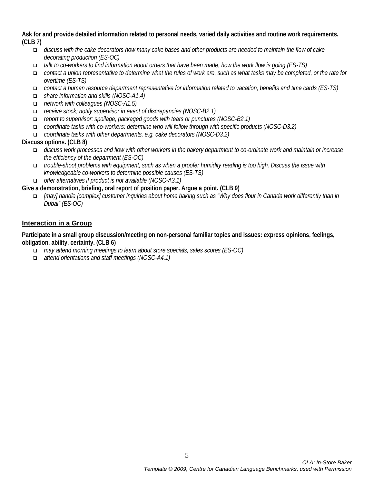**Ask for and provide detailed information related to personal needs, varied daily activities and routine work requirements. (CLB 7)**

- *discuss with the cake decorators how many cake bases and other products are needed to maintain the flow of cake decorating production (ES-OC)*
- *talk to co-workers to find information about orders that have been made, how the work flow is going (ES-TS)*
- *contact a union representative to determine what the rules of work are, such as what tasks may be completed, or the rate for overtime (ES-TS)*
- *contact a human resource department representative for information related to vacation, benefits and time cards (ES-TS)*
- *share information and skills (NOSC-A1.4)*
- *network with colleagues (NOSC-A1.5)*
- *receive stock; notify supervisor in event of discrepancies (NOSC-B2.1)*
- *report to supervisor: spoilage; packaged goods with tears or punctures (NOSC-B2.1)*
- *coordinate tasks with co-workers: determine who will follow through with specific products (NOSC-D3.2)*
- *coordinate tasks with other departments, e.g. cake decorators (NOSC-D3.2)*

## **Discuss options. (CLB 8)**

- *discuss work processes and flow with other workers in the bakery department to co-ordinate work and maintain or increase the efficiency of the department (ES-OC)*
- *trouble-shoot problems with equipment, such as when a proofer humidity reading is too high. Discuss the issue with knowledgeable co-workers to determine possible causes (ES-TS)*
- *offer alternatives if product is not available (NOSC-A3.1)*
- **Give a demonstration, briefing, oral report of position paper. Argue a point. (CLB 9)**
	- *[may] handle [complex] customer inquiries about home baking such as "Why does flour in Canada work differently than in Dubai" (ES-OC)*

## **Interaction in a Group**

**Participate in a small group discussion/meeting on non-personal familiar topics and issues: express opinions, feelings, obligation, ability, certainty. (CLB 6)**

- *may attend morning meetings to learn about store specials, sales scores (ES-OC)*
- *attend orientations and staff meetings (NOSC-A4.1)*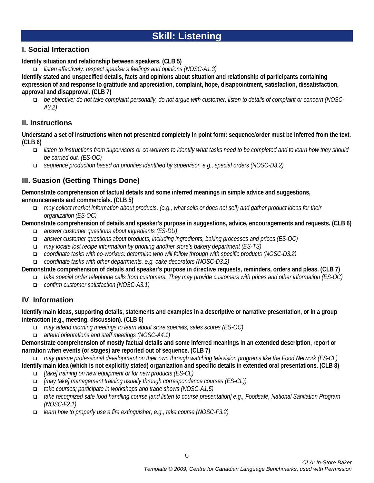# **Skill: Listening**

# **I. Social Interaction**

**Identify situation and relationship between speakers. (CLB 5)**

*listen effectively: respect speaker's feelings and opinions (NOSC-A1.3)*

**Identify stated and unspecified details, facts and opinions about situation and relationship of participants containing expression of and response to gratitude and appreciation, complaint, hope, disappointment, satisfaction, dissatisfaction, approval and disapproval. (CLB 7)**

 *be objective: do not take complaint personally, do not argue with customer, listen to details of complaint or concern (NOSC-A3.2)*

# **II. Instructions**

**Understand a set of instructions when not presented completely in point form: sequence/order must be inferred from the text. (CLB 6)**

- *listen to instructions from supervisors or co-workers to identify what tasks need to be completed and to learn how they should be carried out. (ES-OC)*
- *sequence production based on priorities identified by supervisor, e.g., special orders (NOSC-D3.2)*

# **III. Suasion (Getting Things Done)**

**Demonstrate comprehension of factual details and some inferred meanings in simple advice and suggestions, announcements and commercials. (CLB 5)**

 *may collect market information about products, (e.g., what sells or does not sell) and gather product ideas for their organization (ES-OC)*

**Demonstrate comprehension of details and speaker's purpose in suggestions, advice, encouragements and requests. (CLB 6)**

- *answer customer questions about ingredients (ES-DU)*
- *answer customer questions about products, including ingredients, baking processes and prices (ES-OC)*
- *may locate lost recipe information by phoning another store's bakery department (ES-TS)*
- *coordinate tasks with co-workers: determine who will follow through with specific products (NOSC-D3.2)*
- *coordinate tasks with other departments, e.g. cake decorators (NOSC-D3.2)*

**Demonstrate comprehension of details and speaker's purpose in directive requests, reminders, orders and pleas. (CLB 7)**

 *take special order telephone calls from customers. They may provide customers with prices and other information (ES-OC) confirm customer satisfaction (NOSC-A3.1)*

# **IV**. **Information**

**Identify main ideas, supporting details, statements and examples in a descriptive or narrative presentation, or in a group interaction (e.g., meeting, discussion). (CLB 6)**

- *may attend morning meetings to learn about store specials, sales scores (ES-OC)*
- *attend orientations and staff meetings (NOSC-A4.1)*

**Demonstrate comprehension of mostly factual details and some inferred meanings in an extended description, report or narration when events (or stages) are reported out of sequence. (CLB 7)**

*may pursue professional development on their own through watching television programs like the Food Network (ES-CL)*

**Identify main idea (which is not explicitly stated) organization and specific details in extended oral presentations. (CLB 8)**

- *[take] training on new equipment or for new products (ES-CL)*
- *[may take] management training usually through correspondence courses (ES-CL))*
- *take courses; participate in workshops and trade shows (NOSC-A1.5)*
- *take recognized safe food handling course [and listen to course presentation] e.g., Foodsafe, National Sanitation Program (NOSC-F2.1)*
- *learn how to properly use a fire extinguisher, e.g., take course (NOSC-F3.2)*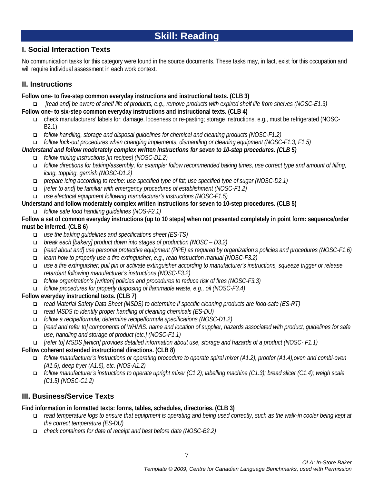# **Skill: Reading**

# **I. Social Interaction Texts**

No communication tasks for this category were found in the source documents. These tasks may, in fact, exist for this occupation and will require individual assessment in each work context.

# **II. Instructions**

**Follow one- to five-step common everyday instructions and instructional texts. (CLB 3)**

 *[read and] be aware of shelf life of products, e.g., remove products with expired shelf life from shelves (NOSC-E1.3)*  **Follow one- to six-step common everyday instructions and instructional texts. (CLB 4)**

- check manufacturers' labels for: damage, looseness or re-pasting; storage instructions, e.g., must be refrigerated (NOSC-B2.1)
- *follow handling, storage and disposal guidelines for chemical and cleaning products (NOSC-F1.2)*

*follow lock-out procedures when changing implements, dismantling or cleaning equipment (NOSC-F1.3, F1.5)*

# *Understand and follow moderately complex written instructions for seven to 10-step procedures. (CLB 5)*

- *follow mixing instructions [in recipes] (NOSC-D1.2)*
- *follow directions for baking/assembly, for example: follow recommended baking times, use correct type and amount of filling, icing, topping, garnish (NOSC-D1.2)*
- *prepare icing according to recipe: use specified type of fat; use specified type of sugar (NOSC-D2.1)*
- *[refer to and] be familiar with emergency procedures of establishment (NOSC-F1.2)*
- *use electrical equipment following manufacturer's instructions (NOSC-F1.5)*

**Understand and follow moderately complex written instructions for seven to 10-step procedures. (CLB 5)**

*follow safe food handling guidelines (NOS-F2.1)* 

**Follow a set of common everyday instructions (up to 10 steps) when not presented completely in point form: sequence/order must be inferred. (CLB 6)**

- *use the baking guidelines and specifications sheet (ES-TS)*
- *break each [bakery] product down into stages of production (NOSC – D3.2)*
- *[read about and] use personal protective equipment (PPE) as required by organization's policies and procedures (NOSC-F1.6)*
- *learn how to properly use a fire extinguisher, e.g., read instruction manual (NOSC-F3.2)*
- *use a fire extinguisher; pull pin or activate extinguisher according to manufacturer's instructions, squeeze trigger or release retardant following manufacturer's instructions (NOSC-F3.2)*
- *follow organization's [written] policies and procedures to reduce risk of fires (NOSC-F3.3)*
- *follow procedures for properly disposing of flammable waste, e.g., oil (NOSC-F3.4)*

## **Follow everyday instructional texts. (CLB 7)**

- *read Material Safety Data Sheet (MSDS) to determine if specific cleaning products are food-safe (ES-RT)*
- *read MSDS to identify proper handling of cleaning chemicals (ES-DU)*
- *follow a recipe/formula; determine recipe/formula specifications (NOSC-D1.2)*
- *[read and refer to] components of WHMIS: name and location of supplier, hazards associated with product, guidelines for safe use, handling and storage of product [etc.] (NOSC-F1.1)*

*[refer to] MSDS [which] provides detailed information about use, storage and hazards of a product (NOSC- F1.1)* 

## **Follow coherent extended instructional directions. (CLB 8)**

- *follow manufacturer's instructions or operating procedure to operate spiral mixer (A1.2), proofer (A1.4),oven and combi-oven (A1.5), deep fryer (A1.6), etc. (NOS-A1.2)*
- *follow manufacturer's instructions to operate upright mixer (C1.2); labelling machine (C1.3); bread slicer (C1.4); weigh scale (C1.5) (NOSC-C1.2)*

# **III. Business/Service Texts**

## **Find information in formatted texts: forms, tables, schedules, directories. (CLB 3)**

- *read temperature logs to ensure that equipment is operating and being used correctly, such as the walk-in cooler being kept at the correct temperature (ES-DU)*
- *check containers for date of receipt and best before date (NOSC-B2.2)*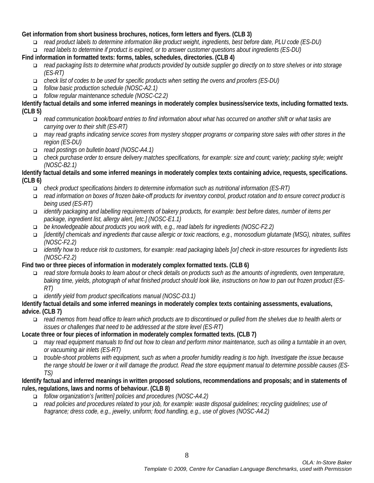## **Get information from short business brochures, notices, form letters and flyers. (CLB 3)**

- *read product labels to determine information like product weight, ingredients, best before date, PLU code (ES-DU)*
- *read labels to determine if product is expired, or to answer customer questions about ingredients (ES-DU)*
- **Find information in formatted texts: forms, tables, schedules, directories. (CLB 4)**
	- *read packaging lists to determine what products provided by outside supplier go directly on to store shelves or into storage (ES-RT)*
	- *check list of codes to be used for specific products when setting the ovens and proofers (ES-DU)*
	- *follow basic production schedule (NOSC-A2.1)*
	- *follow regular maintenance schedule (NOSC-C2.2)*

**Identify factual details and some inferred meanings in moderately complex business/service texts, including formatted texts. (CLB 5)**

- *read communication book/board entries to find information about what has occurred on another shift or what tasks are carrying over to their shift (ES-RT)*
- *may read graphs indicating service scores from mystery shopper programs or comparing store sales with other stores in the region (ES-DU)*
- *read postings on bulletin board (NOSC-A4.1)*
- *check purchase order to ensure delivery matches specifications, for example: size and count; variety; packing style; weight (NOSC-B2.1)*

## **Identify factual details and some inferred meanings in moderately complex texts containing advice, requests, specifications. (CLB 6)**

- *check product specifications binders to determine information such as nutritional information (ES-RT)*
- *read information on boxes of frozen bake-off products for inventory control, product rotation and to ensure correct product is being used (ES-RT)*
- *identify packaging and labelling requirements of bakery products, for example: best before dates, number of items per package, ingredient list, allergy alert, [etc.] (NOSC-E1.1)*
- *be knowledgeable about products you work with, e.g., read labels for ingredients (NOSC-F2.2)*
- *[identify] chemicals and ingredients that cause allergic or toxic reactions, e.g., monosodium glutamate (MSG), nitrates, sulfites (NOSC-F2.2)*
- *identify how to reduce risk to customers, for example: read packaging labels [or] check in-store resources for ingredients lists (NOSC-F2.2)*

## **Find two or three pieces of information in moderately complex formatted texts. (CLB 6)**

- *read store formula books to learn about or check details on products such as the amounts of ingredients, oven temperature, baking time, yields, photograph of what finished product should look like, instructions on how to pan out frozen product (ES-RT)*
- *identify yield from product specifications manual (NOSC-D3.1)*

## **Identify factual details and some inferred meanings in moderately complex texts containing assessments, evaluations, advice. (CLB 7)**

 *read memos from head office to learn which products are to discontinued or pulled from the shelves due to health alerts or issues or challenges that need to be addressed at the store level (ES-RT)*

## **Locate three or four pieces of information in moderately complex formatted texts. (CLB 7)**

- *may read equipment manuals to find out how to clean and perform minor maintenance, such as oiling a turntable in an oven, or vacuuming air inlets (ES-RT)*
- *trouble-shoot problems with equipment, such as when a proofer humidity reading is too high. Investigate the issue because the range should be lower or it will damage the product. Read the store equipment manual to determine possible causes (ES-TS)*

## **Identify factual and inferred meanings in written proposed solutions, recommendations and proposals; and in statements of rules, regulations, laws and norms of behaviour. (CLB 8)**

- *follow organization's [written] policies and procedures (NOSC-A4.2)*
- *read policies and procedures related to your job, for example: waste disposal guidelines; recycling guidelines; use of fragrance; dress code, e.g., jewelry, uniform; food handling, e.g., use of gloves (NOSC-A4.2)*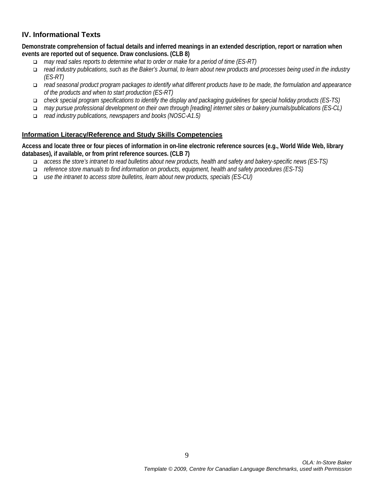# **IV. Informational Texts**

**Demonstrate comprehension of factual details and inferred meanings in an extended description, report or narration when events are reported out of sequence. Draw conclusions. (CLB 8)**

- *may read sales reports to determine what to order or make for a period of time (ES-RT)*
- *read industry publications, such as the Baker's Journal, to learn about new products and processes being used in the industry (ES-RT)*
- *read seasonal product program packages to identify what different products have to be made, the formulation and appearance of the products and when to start production (ES-RT)*
- *check special program specifications to identify the display and packaging guidelines for special holiday products (ES-TS)*
- *may pursue professional development on their own through [reading] internet sites or bakery journals/publications (ES-CL)*
- *read industry publications, newspapers and books (NOSC-A1.5)*

## **Information Literacy/Reference and Study Skills Competencies**

**Access and locate three or four pieces of information in on-line electronic reference sources (e.g., World Wide Web, library databases), if available, or from print reference sources. (CLB 7)**

- *access the store's intranet to read bulletins about new products, health and safety and bakery-specific news (ES-TS)*
- *reference store manuals to find information on products, equipment, health and safety procedures (ES-TS)*
- *use the intranet to access store bulletins, learn about new products, specials (ES-CU)*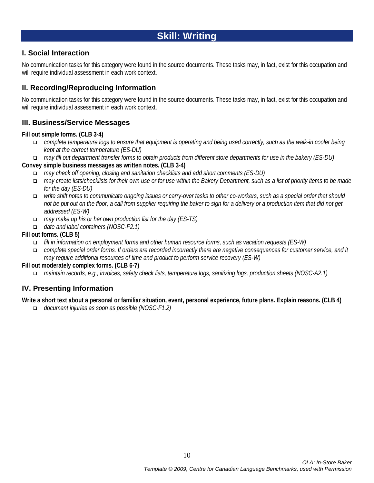# **Skill: Writing**

## **I. Social Interaction**

No communication tasks for this category were found in the source documents. These tasks may, in fact, exist for this occupation and will require individual assessment in each work context.

# **II. Recording/Reproducing Information**

No communication tasks for this category were found in the source documents. These tasks may, in fact, exist for this occupation and will require individual assessment in each work context.

# **III. Business/Service Messages**

## **Fill out simple forms. (CLB 3-4)**

- *complete temperature logs to ensure that equipment is operating and being used correctly, such as the walk-in cooler being kept at the correct temperature (ES-DU)*
- *may fill out department transfer forms to obtain products from different store departments for use in the bakery (ES-DU)* **Convey simple business messages as written notes. (CLB 3-4)**
	- *may check off opening, closing and sanitation checklists and add short comments (ES-DU)*
	- *may create lists/checklists for their own use or for use within the Bakery Department, such as a list of priority items to be made for the day (ES-DU)*
	- *write shift notes to communicate ongoing issues or carry-over tasks to other co-workers, such as a special order that should not be put out on the floor, a call from supplier requiring the baker to sign for a delivery or a production item that did not get addressed (ES-W)*
	- *may make up his or her own production list for the day (ES-TS)*
	- *date and label containers (NOSC-F2.1)*

## **Fill out forms. (CLB 5)**

- *fill in information on employment forms and other human resource forms, such as vacation requests (ES-W)*
- *complete special order forms. If orders are recorded incorrectly there are negative consequences for customer service, and it may require additional resources of time and product to perform service recovery (ES-W)*

## **Fill out moderately complex forms. (CLB 6-7)**

*maintain records, e.g., invoices, safety check lists, temperature logs, sanitizing logs, production sheets (NOSC-A2.1)*

# **IV. Presenting Information**

## **Write a short text about a personal or familiar situation, event, personal experience, future plans. Explain reasons. (CLB 4)**

*document injuries as soon as possible (NOSC-F1.2)*